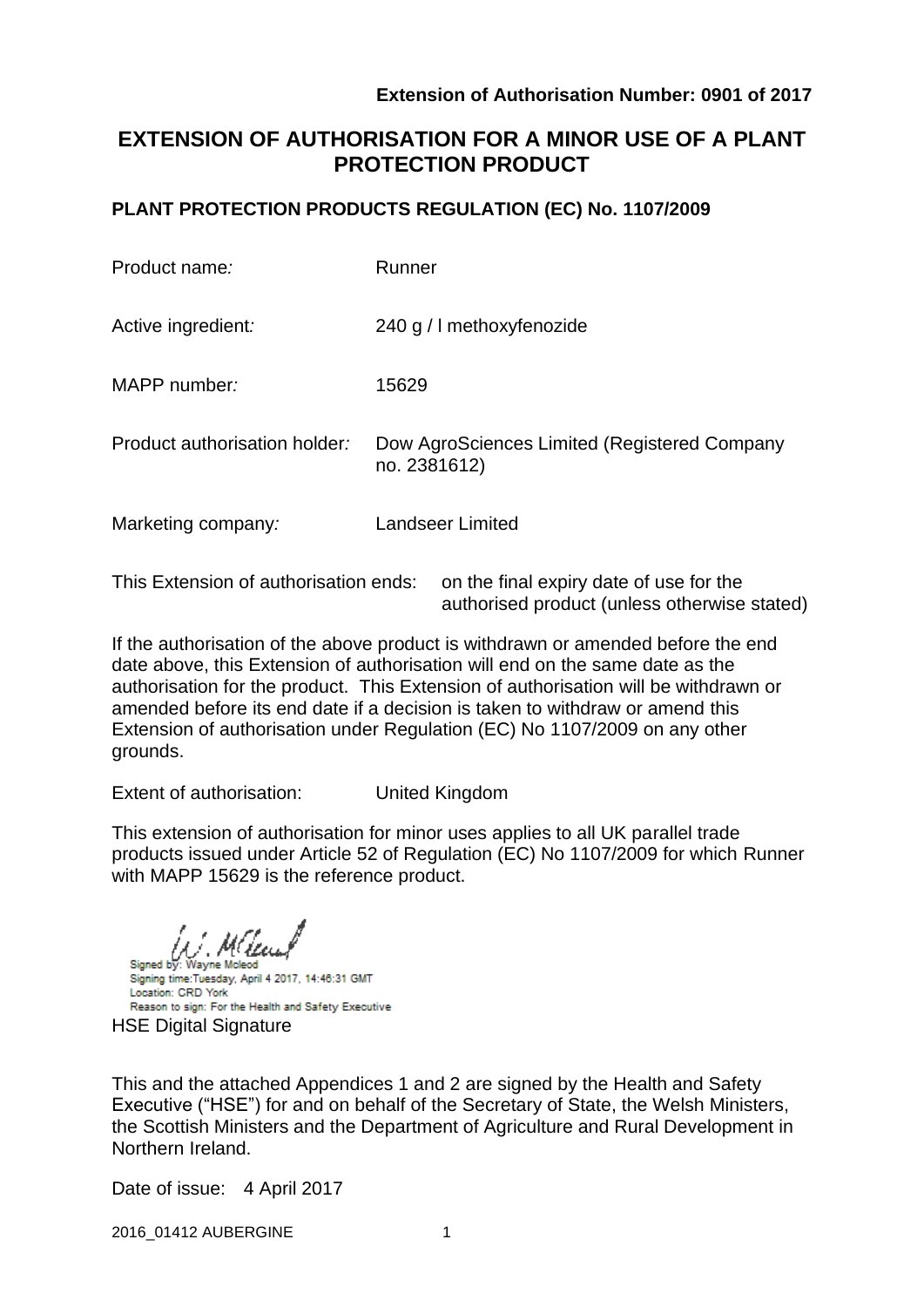# **EXTENSION OF AUTHORISATION FOR A MINOR USE OF A PLANT PROTECTION PRODUCT**

### **PLANT PROTECTION PRODUCTS REGULATION (EC) No. 1107/2009**

| Product name:                                                                    | Runner                                                       |  |  |  |  |
|----------------------------------------------------------------------------------|--------------------------------------------------------------|--|--|--|--|
| Active ingredient:                                                               | 240 g / I methoxyfenozide                                    |  |  |  |  |
| MAPP number:                                                                     | 15629                                                        |  |  |  |  |
| Product authorisation holder:                                                    | Dow AgroSciences Limited (Registered Company<br>no. 2381612) |  |  |  |  |
| Marketing company:                                                               | Landseer Limited                                             |  |  |  |  |
| This Extension of authorisation ends:<br>on the final expiry date of use for the |                                                              |  |  |  |  |

authorised product (unless otherwise stated) If the authorisation of the above product is withdrawn or amended before the end

date above, this Extension of authorisation will end on the same date as the authorisation for the product. This Extension of authorisation will be withdrawn or amended before its end date if a decision is taken to withdraw or amend this Extension of authorisation under Regulation (EC) No 1107/2009 on any other grounds.

Extent of authorisation: United Kingdom

This extension of authorisation for minor uses applies to all UK parallel trade products issued under Article 52 of Regulation (EC) No 1107/2009 for which Runner with MAPP 15629 is the reference product.

Signed by: Wayne Mcleod Signing time:Tuesday, April 4 2017, 14:46:31 GMT Location: CRD York Reason to sign: For the Health and Safety Executive HSE Digital Signature

This and the attached Appendices 1 and 2 are signed by the Health and Safety Executive ("HSE") for and on behalf of the Secretary of State, the Welsh Ministers, the Scottish Ministers and the Department of Agriculture and Rural Development in Northern Ireland.

Date of issue: 4 April 2017

2016\_01412 AUBERGINE 1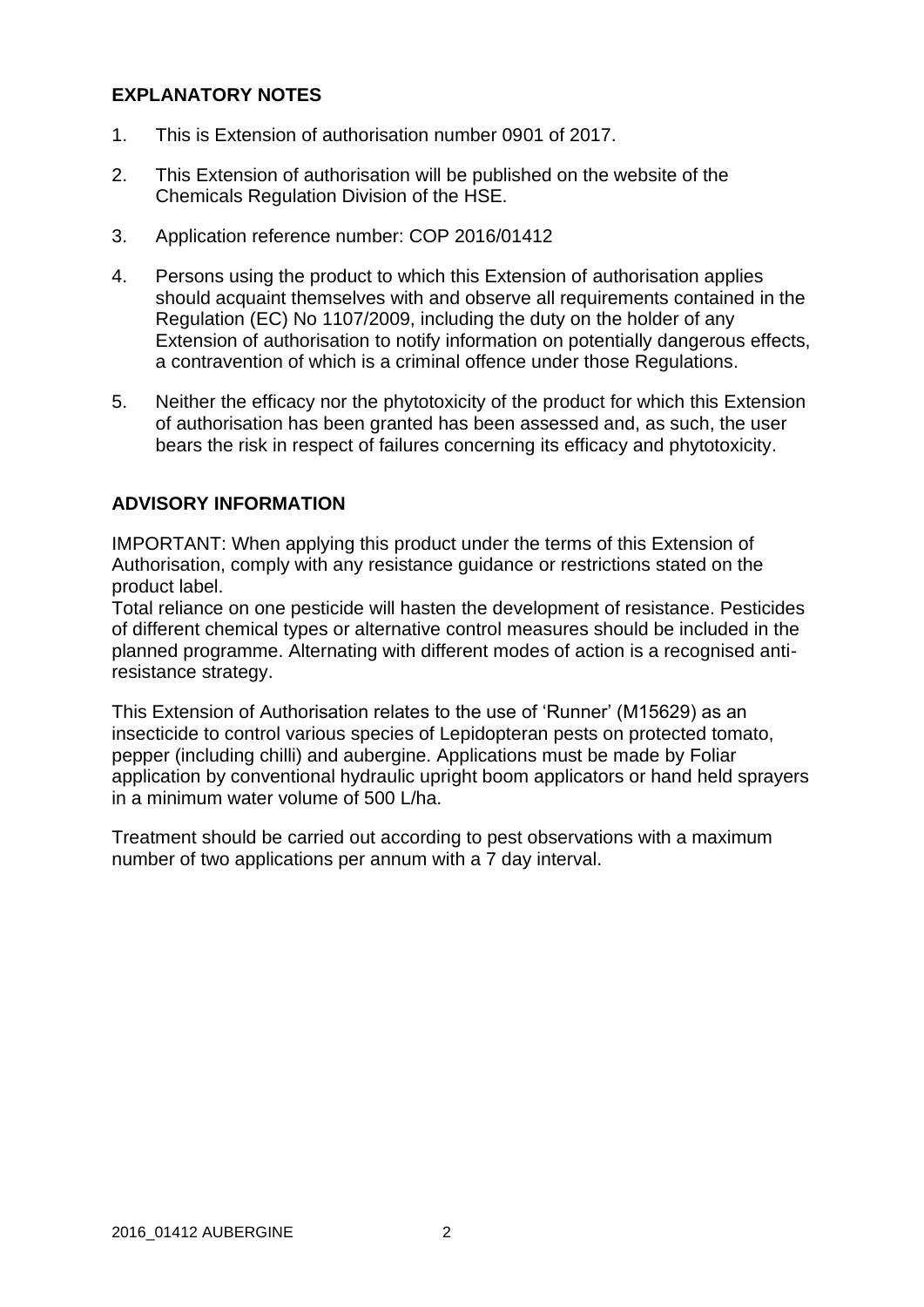### **EXPLANATORY NOTES**

- 1. This is Extension of authorisation number 0901 of 2017.
- 2. This Extension of authorisation will be published on the website of the Chemicals Regulation Division of the HSE.
- 3. Application reference number: COP 2016/01412
- 4. Persons using the product to which this Extension of authorisation applies should acquaint themselves with and observe all requirements contained in the Regulation (EC) No 1107/2009, including the duty on the holder of any Extension of authorisation to notify information on potentially dangerous effects, a contravention of which is a criminal offence under those Regulations.
- 5. Neither the efficacy nor the phytotoxicity of the product for which this Extension of authorisation has been granted has been assessed and, as such, the user bears the risk in respect of failures concerning its efficacy and phytotoxicity.

### **ADVISORY INFORMATION**

IMPORTANT: When applying this product under the terms of this Extension of Authorisation, comply with any resistance guidance or restrictions stated on the product label.

Total reliance on one pesticide will hasten the development of resistance. Pesticides of different chemical types or alternative control measures should be included in the planned programme. Alternating with different modes of action is a recognised antiresistance strategy.

This Extension of Authorisation relates to the use of 'Runner' (M15629) as an insecticide to control various species of Lepidopteran pests on protected tomato, pepper (including chilli) and aubergine. Applications must be made by Foliar application by conventional hydraulic upright boom applicators or hand held sprayers in a minimum water volume of 500 L/ha.

Treatment should be carried out according to pest observations with a maximum number of two applications per annum with a 7 day interval.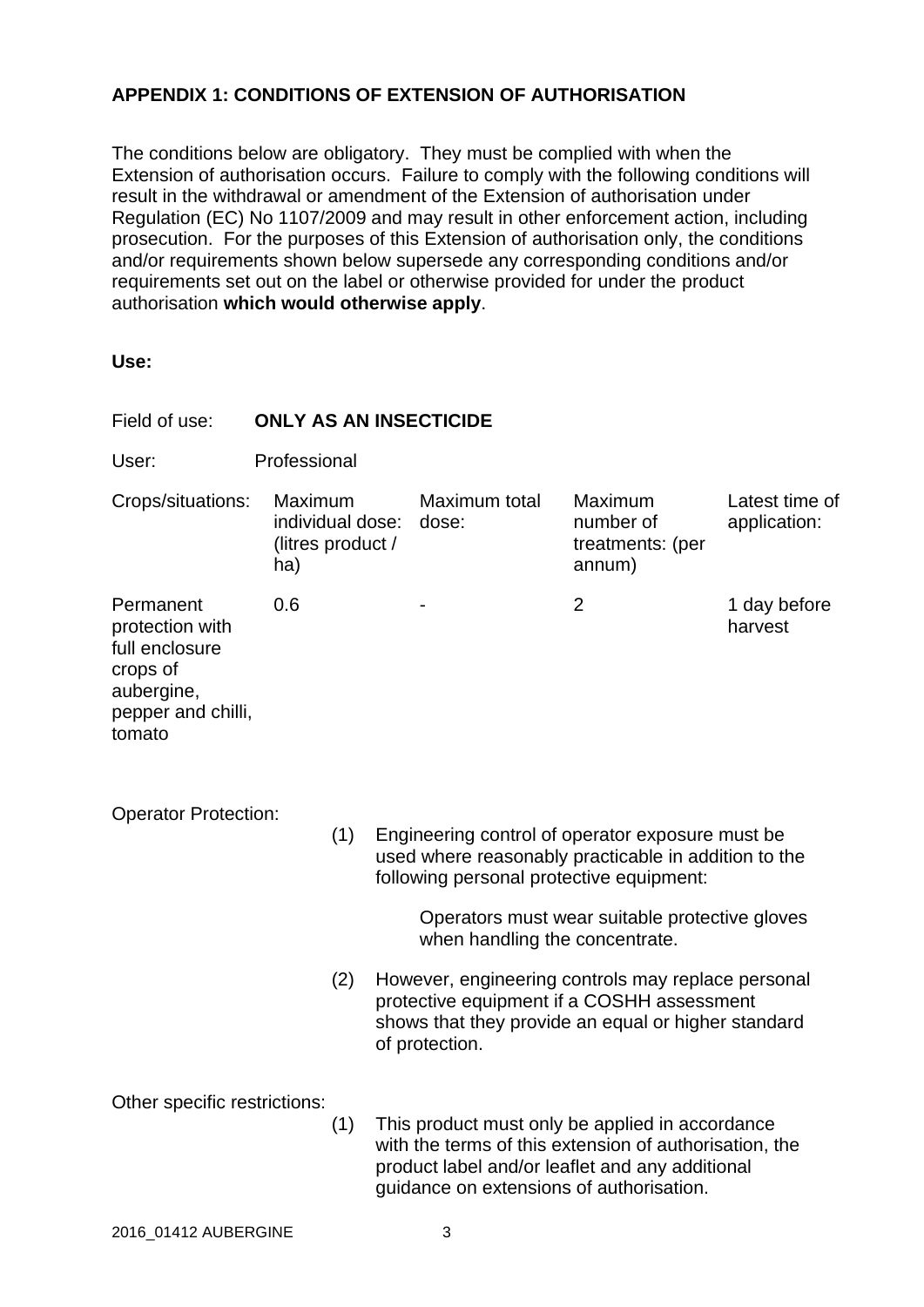## **APPENDIX 1: CONDITIONS OF EXTENSION OF AUTHORISATION**

The conditions below are obligatory. They must be complied with when the Extension of authorisation occurs. Failure to comply with the following conditions will result in the withdrawal or amendment of the Extension of authorisation under Regulation (EC) No 1107/2009 and may result in other enforcement action, including prosecution. For the purposes of this Extension of authorisation only, the conditions and/or requirements shown below supersede any corresponding conditions and/or requirements set out on the label or otherwise provided for under the product authorisation **which would otherwise apply**.

| Field of use:                                                                                            | <b>ONLY AS AN INSECTICIDE</b>                           |     |                                                                                                                                                                           |                                          |                                                                                                           |                                |  |  |
|----------------------------------------------------------------------------------------------------------|---------------------------------------------------------|-----|---------------------------------------------------------------------------------------------------------------------------------------------------------------------------|------------------------------------------|-----------------------------------------------------------------------------------------------------------|--------------------------------|--|--|
| User:                                                                                                    | Professional                                            |     |                                                                                                                                                                           |                                          |                                                                                                           |                                |  |  |
| Crops/situations:                                                                                        | Maximum<br>individual dose:<br>(litres product /<br>ha) |     |                                                                                                                                                                           | Maximum total<br>dose:                   | Maximum<br>number of<br>treatments: (per<br>annum)                                                        | Latest time of<br>application: |  |  |
| Permanent<br>protection with<br>full enclosure<br>crops of<br>aubergine,<br>pepper and chilli,<br>tomato | 0.6                                                     |     |                                                                                                                                                                           |                                          | $\overline{2}$                                                                                            | 1 day before<br>harvest        |  |  |
| <b>Operator Protection:</b>                                                                              |                                                         | (1) |                                                                                                                                                                           | following personal protective equipment: | Engineering control of operator exposure must be<br>used where reasonably practicable in addition to the  |                                |  |  |
|                                                                                                          |                                                         |     |                                                                                                                                                                           | when handling the concentrate.           | Operators must wear suitable protective gloves                                                            |                                |  |  |
|                                                                                                          |                                                         | (2) | However, engineering controls may replace personal<br>protective equipment if a COSHH assessment<br>shows that they provide an equal or higher standard<br>of protection. |                                          |                                                                                                           |                                |  |  |
| Other specific restrictions:                                                                             |                                                         | (1) |                                                                                                                                                                           |                                          | This product must only be applied in accordance<br>with the terms of this extension of authorisation, the |                                |  |  |

product label and/or leaflet and any additional guidance on extensions of authorisation.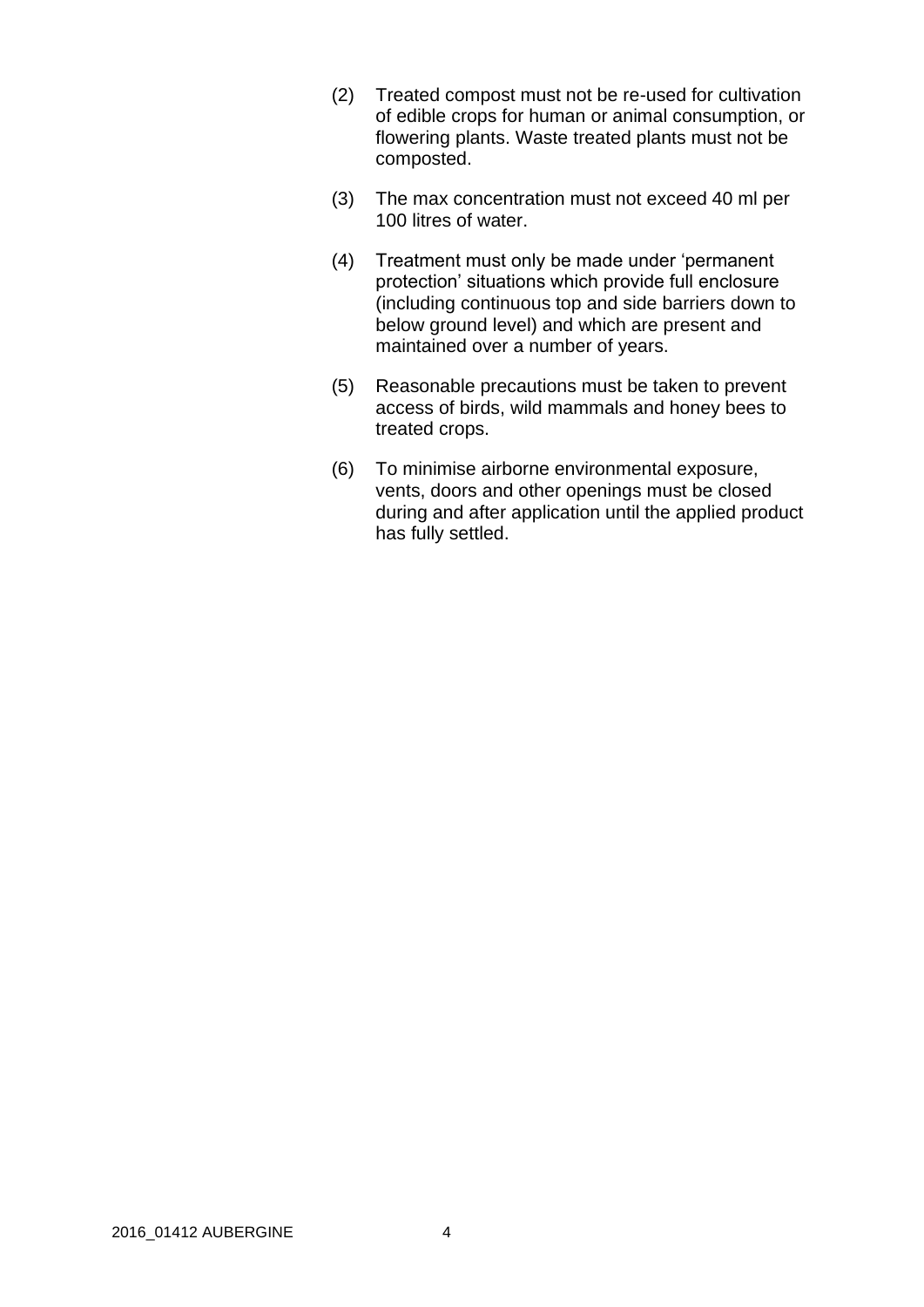- (2) Treated compost must not be re-used for cultivation of edible crops for human or animal consumption, or flowering plants. Waste treated plants must not be composted.
- (3) The max concentration must not exceed 40 ml per 100 litres of water.
- (4) Treatment must only be made under 'permanent protection' situations which provide full enclosure (including continuous top and side barriers down to below ground level) and which are present and maintained over a number of years.
- (5) Reasonable precautions must be taken to prevent access of birds, wild mammals and honey bees to treated crops.
- (6) To minimise airborne environmental exposure, vents, doors and other openings must be closed during and after application until the applied product has fully settled.